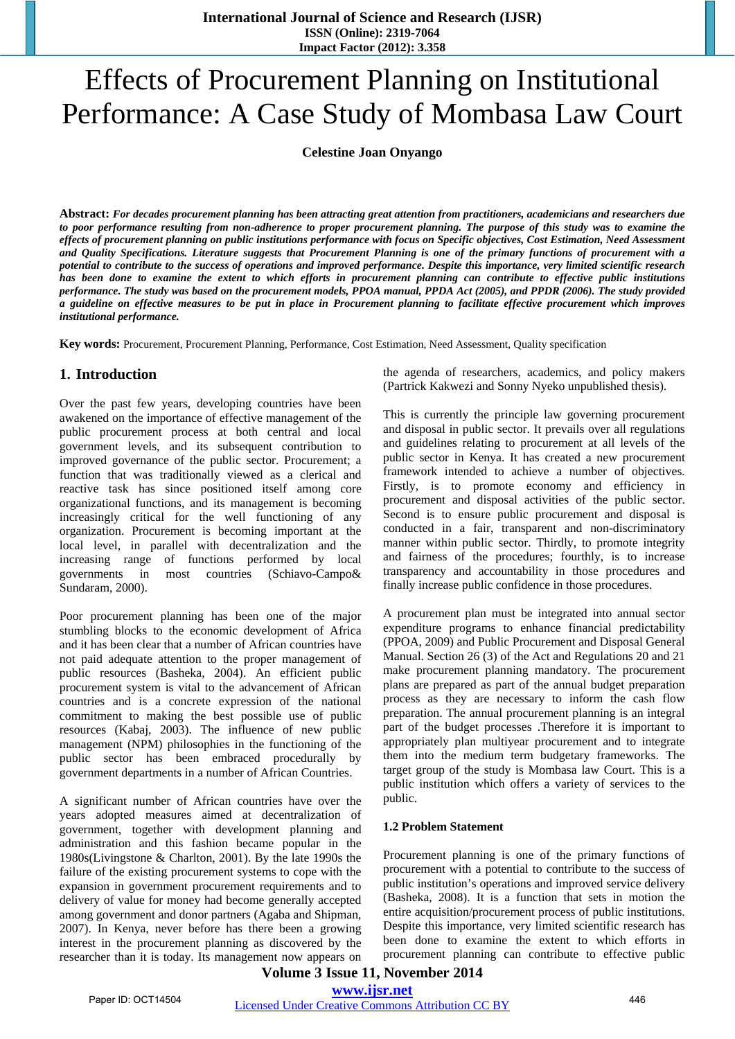# Effects of Procurement Planning on Institutional Performance: A Case Study of Mombasa Law Court

**Celestine Joan Onyango** 

**Abstract:** *For decades procurement planning has been attracting great attention from practitioners, academicians and researchers due to poor performance resulting from non-adherence to proper procurement planning. The purpose of this study was to examine the effects of procurement planning on public institutions performance with focus on Specific objectives, Cost Estimation, Need Assessment and Quality Specifications. Literature suggests that Procurement Planning is one of the primary functions of procurement with a potential to contribute to the success of operations and improved performance. Despite this importance, very limited scientific research has been done to examine the extent to which efforts in procurement planning can contribute to effective public institutions performance. The study was based on the procurement models, PPOA manual, PPDA Act (2005), and PPDR (2006). The study provided a guideline on effective measures to be put in place in Procurement planning to facilitate effective procurement which improves institutional performance.* 

**Key words:** Procurement, Procurement Planning, Performance, Cost Estimation, Need Assessment, Quality specification

# **1. Introduction**

Over the past few years, developing countries have been awakened on the importance of effective management of the public procurement process at both central and local government levels, and its subsequent contribution to improved governance of the public sector. Procurement; a function that was traditionally viewed as a clerical and reactive task has since positioned itself among core organizational functions, and its management is becoming increasingly critical for the well functioning of any organization. Procurement is becoming important at the local level, in parallel with decentralization and the increasing range of functions performed by local governments in most countries (Schiavo-Campo& Sundaram, 2000).

Poor procurement planning has been one of the major stumbling blocks to the economic development of Africa and it has been clear that a number of African countries have not paid adequate attention to the proper management of public resources (Basheka, 2004). An efficient public procurement system is vital to the advancement of African countries and is a concrete expression of the national commitment to making the best possible use of public resources (Kabaj, 2003). The influence of new public management (NPM) philosophies in the functioning of the public sector has been embraced procedurally by government departments in a number of African Countries.

A significant number of African countries have over the years adopted measures aimed at decentralization of government, together with development planning and administration and this fashion became popular in the 1980s(Livingstone & Charlton, 2001). By the late 1990s the failure of the existing procurement systems to cope with the expansion in government procurement requirements and to delivery of value for money had become generally accepted among government and donor partners (Agaba and Shipman, 2007). In Kenya, never before has there been a growing interest in the procurement planning as discovered by the researcher than it is today. Its management now appears on the agenda of researchers, academics, and policy makers (Partrick Kakwezi and Sonny Nyeko unpublished thesis).

This is currently the principle law governing procurement and disposal in public sector. It prevails over all regulations and guidelines relating to procurement at all levels of the public sector in Kenya. It has created a new procurement framework intended to achieve a number of objectives. Firstly, is to promote economy and efficiency in procurement and disposal activities of the public sector. Second is to ensure public procurement and disposal is conducted in a fair, transparent and non-discriminatory manner within public sector. Thirdly, to promote integrity and fairness of the procedures; fourthly, is to increase transparency and accountability in those procedures and finally increase public confidence in those procedures.

A procurement plan must be integrated into annual sector expenditure programs to enhance financial predictability (PPOA, 2009) and Public Procurement and Disposal General Manual. Section 26 (3) of the Act and Regulations 20 and 21 make procurement planning mandatory. The procurement plans are prepared as part of the annual budget preparation process as they are necessary to inform the cash flow preparation. The annual procurement planning is an integral part of the budget processes .Therefore it is important to appropriately plan multiyear procurement and to integrate them into the medium term budgetary frameworks. The target group of the study is Mombasa law Court. This is a public institution which offers a variety of services to the public.

#### **1.2 Problem Statement**

Procurement planning is one of the primary functions of procurement with a potential to contribute to the success of public institution's operations and improved service delivery (Basheka, 2008). It is a function that sets in motion the entire acquisition/procurement process of public institutions. Despite this importance, very limited scientific research has been done to examine the extent to which efforts in procurement planning can contribute to effective public

# **Volume 3 Issue 11, November 2014 www.ijsr.net** Paper ID: OCT14504 *Licensed Under Creative Commons Attribution CC BY* 446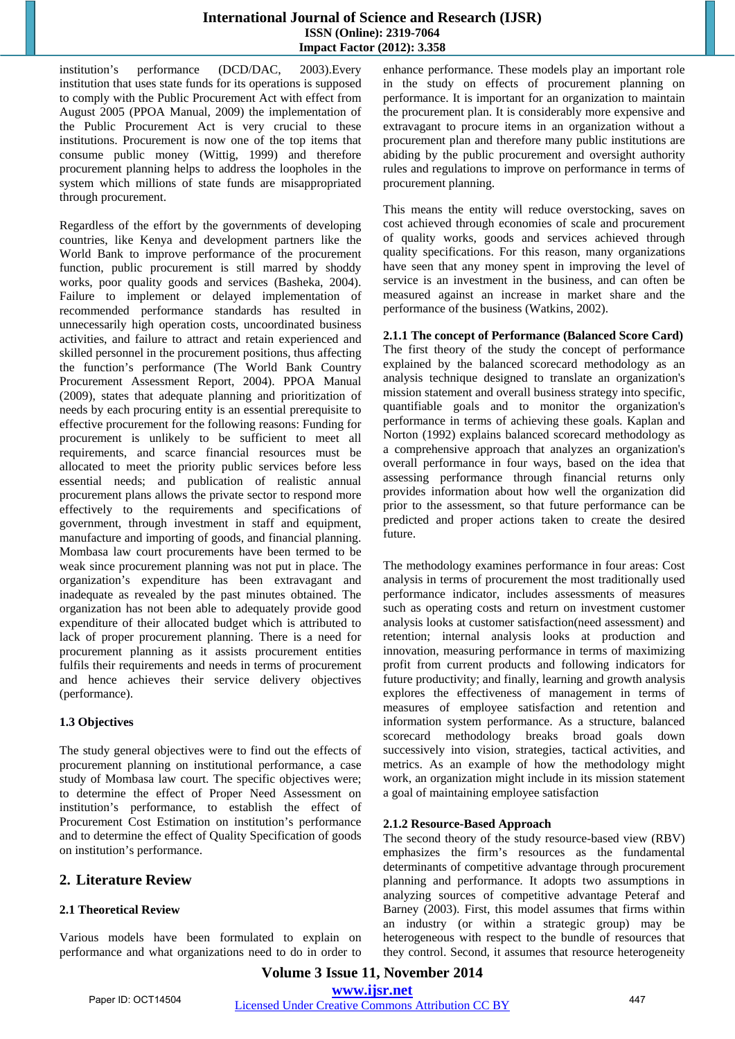institution's performance (DCD/DAC, 2003).Every institution that uses state funds for its operations is supposed to comply with the Public Procurement Act with effect from August 2005 (PPOA Manual, 2009) the implementation of the Public Procurement Act is very crucial to these institutions. Procurement is now one of the top items that consume public money (Wittig, 1999) and therefore procurement planning helps to address the loopholes in the system which millions of state funds are misappropriated through procurement.

Regardless of the effort by the governments of developing countries, like Kenya and development partners like the World Bank to improve performance of the procurement function, public procurement is still marred by shoddy works, poor quality goods and services (Basheka, 2004). Failure to implement or delayed implementation of recommended performance standards has resulted in unnecessarily high operation costs, uncoordinated business activities, and failure to attract and retain experienced and skilled personnel in the procurement positions, thus affecting the function's performance (The World Bank Country Procurement Assessment Report, 2004). PPOA Manual (2009), states that adequate planning and prioritization of needs by each procuring entity is an essential prerequisite to effective procurement for the following reasons: Funding for procurement is unlikely to be sufficient to meet all requirements, and scarce financial resources must be allocated to meet the priority public services before less essential needs; and publication of realistic annual procurement plans allows the private sector to respond more effectively to the requirements and specifications of government, through investment in staff and equipment, manufacture and importing of goods, and financial planning. Mombasa law court procurements have been termed to be weak since procurement planning was not put in place. The organization's expenditure has been extravagant and inadequate as revealed by the past minutes obtained. The organization has not been able to adequately provide good expenditure of their allocated budget which is attributed to lack of proper procurement planning. There is a need for procurement planning as it assists procurement entities fulfils their requirements and needs in terms of procurement and hence achieves their service delivery objectives (performance).

#### **1.3 Objectives**

The study general objectives were to find out the effects of procurement planning on institutional performance, a case study of Mombasa law court. The specific objectives were; to determine the effect of Proper Need Assessment on institution's performance, to establish the effect of Procurement Cost Estimation on institution's performance and to determine the effect of Quality Specification of goods on institution's performance.

# **2. Literature Review**

# **2.1 Theoretical Review**

Various models have been formulated to explain on performance and what organizations need to do in order to enhance performance. These models play an important role in the study on effects of procurement planning on performance. It is important for an organization to maintain the procurement plan. It is considerably more expensive and extravagant to procure items in an organization without a procurement plan and therefore many public institutions are abiding by the public procurement and oversight authority rules and regulations to improve on performance in terms of procurement planning.

This means the entity will reduce overstocking, saves on cost achieved through economies of scale and procurement of quality works, goods and services achieved through quality specifications. For this reason, many organizations have seen that any money spent in improving the level of service is an investment in the business, and can often be measured against an increase in market share and the performance of the business (Watkins, 2002).

**2.1.1 The concept of Performance (Balanced Score Card)**  The first theory of the study the concept of performance explained by the balanced scorecard methodology as an analysis technique designed to translate an organization's mission statement and overall business strategy into specific, quantifiable goals and to monitor the organization's performance in terms of achieving these goals. Kaplan and Norton (1992) explains balanced scorecard methodology as a comprehensive approach that analyzes an organization's overall performance in four ways, based on the idea that assessing performance through financial returns only provides information about how well the organization did prior to the assessment, so that future performance can be predicted and proper actions taken to create the desired future.

The methodology examines performance in four areas: Cost analysis in terms of procurement the most traditionally used performance indicator, includes assessments of measures such as operating costs and return on investment customer analysis looks at customer satisfaction(need assessment) and retention; internal analysis looks at production and innovation, measuring performance in terms of maximizing profit from current products and following indicators for future productivity; and finally, learning and growth analysis explores the effectiveness of management in terms of measures of employee satisfaction and retention and information system performance. As a structure, balanced scorecard methodology breaks broad goals down successively into vision, strategies, tactical activities, and metrics. As an example of how the methodology might work, an organization might include in its mission statement a goal of maintaining employee satisfaction

# **2.1.2 Resource-Based Approach**

The second theory of the study resource-based view (RBV) emphasizes the firm's resources as the fundamental determinants of competitive advantage through procurement planning and performance. It adopts two assumptions in analyzing sources of competitive advantage Peteraf and Barney (2003). First, this model assumes that firms within an industry (or within a strategic group) may be heterogeneous with respect to the bundle of resources that they control. Second, it assumes that resource heterogeneity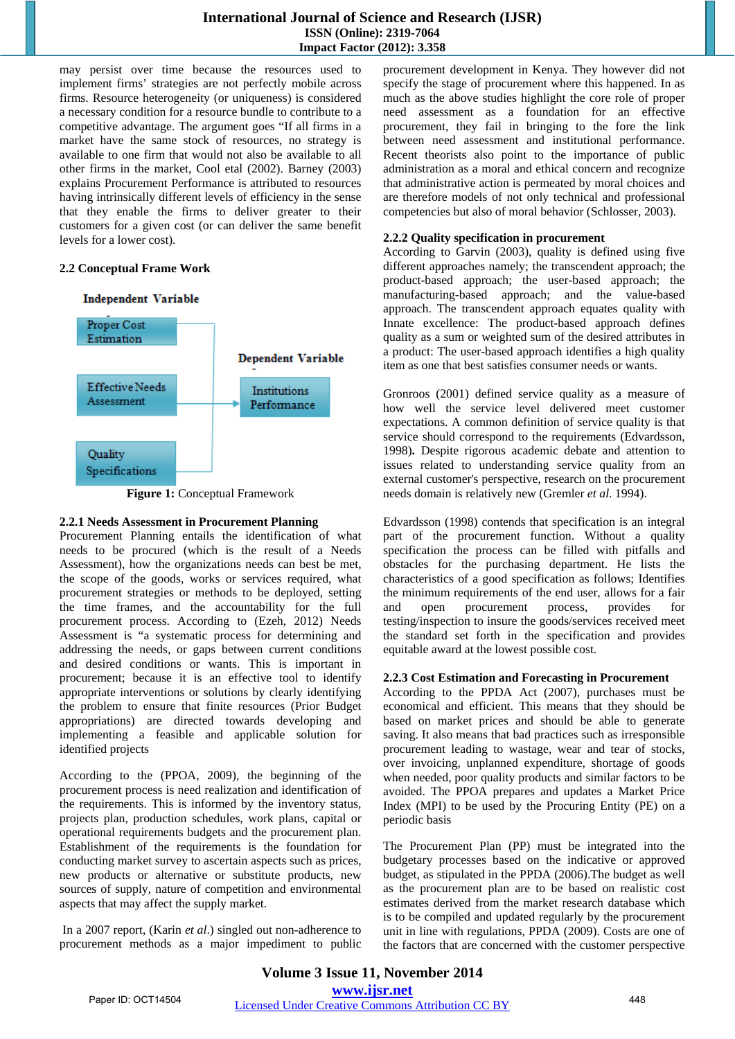may persist over time because the resources used to implement firms' strategies are not perfectly mobile across firms. Resource heterogeneity (or uniqueness) is considered a necessary condition for a resource bundle to contribute to a competitive advantage. The argument goes "If all firms in a market have the same stock of resources, no strategy is available to one firm that would not also be available to all other firms in the market, Cool etal (2002). Barney (2003) explains Procurement Performance is attributed to resources having intrinsically different levels of efficiency in the sense that they enable the firms to deliver greater to their customers for a given cost (or can deliver the same benefit levels for a lower cost).

#### **2.2 Conceptual Frame Work**



**Figure 1:** Conceptual Framework

# **2.2.1 Needs Assessment in Procurement Planning**

Procurement Planning entails the identification of what needs to be procured (which is the result of a Needs Assessment), how the organizations needs can best be met, the scope of the goods, works or services required, what procurement strategies or methods to be deployed, setting the time frames, and the accountability for the full procurement process. According to (Ezeh, 2012) Needs Assessment is "a systematic process for determining and addressing the needs, or gaps between current conditions and desired conditions or wants. This is important in procurement; because it is an effective tool to identify appropriate interventions or solutions by clearly identifying the problem to ensure that finite resources (Prior Budget appropriations) are directed towards developing and implementing a feasible and applicable solution for identified projects

According to the (PPOA, 2009), the beginning of the procurement process is need realization and identification of the requirements. This is informed by the inventory status, projects plan, production schedules, work plans, capital or operational requirements budgets and the procurement plan. Establishment of the requirements is the foundation for conducting market survey to ascertain aspects such as prices, new products or alternative or substitute products, new sources of supply, nature of competition and environmental aspects that may affect the supply market.

 In a 2007 report, (Karin *et al*.) singled out non-adherence to procurement methods as a major impediment to public procurement development in Kenya. They however did not specify the stage of procurement where this happened. In as much as the above studies highlight the core role of proper need assessment as a foundation for an effective procurement, they fail in bringing to the fore the link between need assessment and institutional performance. Recent theorists also point to the importance of public administration as a moral and ethical concern and recognize that administrative action is permeated by moral choices and are therefore models of not only technical and professional competencies but also of moral behavior (Schlosser, 2003).

# **2.2.2 Quality specification in procurement**

According to Garvin (2003), quality is defined using five different approaches namely; the transcendent approach; the product-based approach; the user-based approach; the manufacturing-based approach; and the value-based approach. The transcendent approach equates quality with Innate excellence: The product-based approach defines quality as a sum or weighted sum of the desired attributes in a product: The user-based approach identifies a high quality item as one that best satisfies consumer needs or wants.

Gronroos (2001) defined service quality as a measure of how well the service level delivered meet customer expectations. A common definition of service quality is that service should correspond to the requirements (Edvardsson, 1998)**.** Despite rigorous academic debate and attention to issues related to understanding service quality from an external customer's perspective, research on the procurement needs domain is relatively new (Gremler *et al*. 1994).

Edvardsson (1998) contends that specification is an integral part of the procurement function. Without a quality specification the process can be filled with pitfalls and obstacles for the purchasing department. He lists the characteristics of a good specification as follows; Identifies the minimum requirements of the end user, allows for a fair and open procurement process, provides for testing/inspection to insure the goods/services received meet the standard set forth in the specification and provides equitable award at the lowest possible cost.

# **2.2.3 Cost Estimation and Forecasting in Procurement**

According to the PPDA Act (2007), purchases must be economical and efficient. This means that they should be based on market prices and should be able to generate saving. It also means that bad practices such as irresponsible procurement leading to wastage, wear and tear of stocks, over invoicing, unplanned expenditure, shortage of goods when needed, poor quality products and similar factors to be avoided. The PPOA prepares and updates a Market Price Index (MPI) to be used by the Procuring Entity (PE) on a periodic basis

The Procurement Plan (PP) must be integrated into the budgetary processes based on the indicative or approved budget, as stipulated in the PPDA (2006).The budget as well as the procurement plan are to be based on realistic cost estimates derived from the market research database which is to be compiled and updated regularly by the procurement unit in line with regulations, PPDA (2009). Costs are one of the factors that are concerned with the customer perspective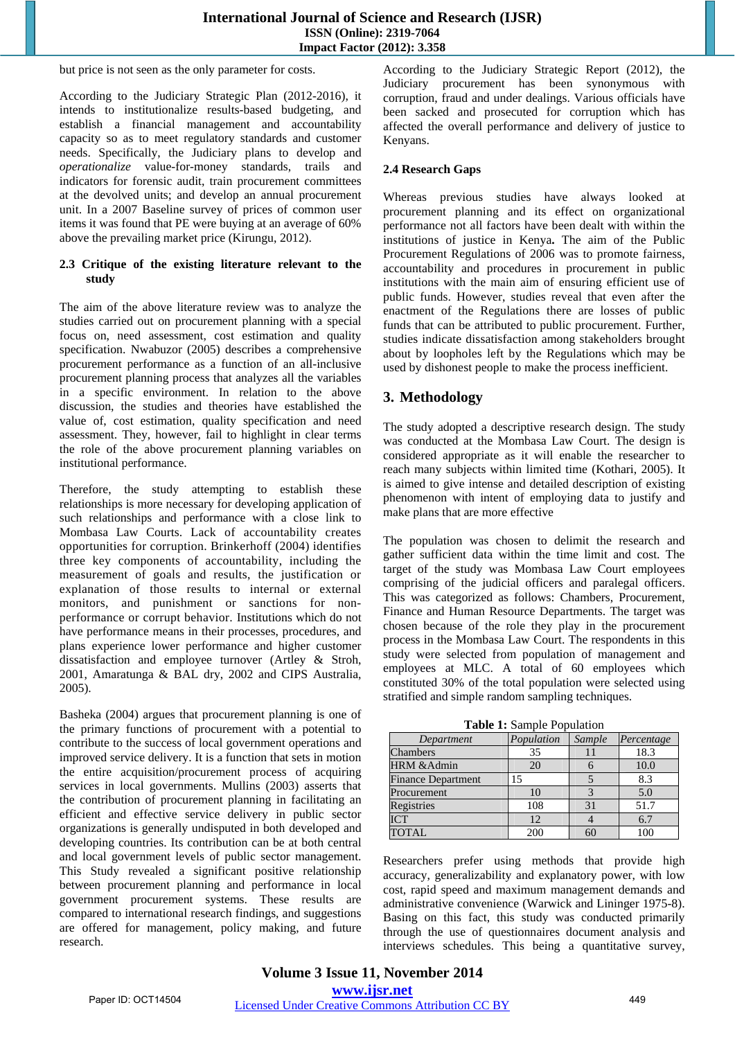but price is not seen as the only parameter for costs.

According to the Judiciary Strategic Plan (2012-2016), it intends to institutionalize results-based budgeting, and establish a financial management and accountability capacity so as to meet regulatory standards and customer needs. Specifically, the Judiciary plans to develop and *operationalize* value-for-money standards, trails and indicators for forensic audit, train procurement committees at the devolved units; and develop an annual procurement unit. In a 2007 Baseline survey of prices of common user items it was found that PE were buying at an average of 60% above the prevailing market price (Kirungu, 2012).

#### **2.3 Critique of the existing literature relevant to the study**

The aim of the above literature review was to analyze the studies carried out on procurement planning with a special focus on, need assessment, cost estimation and quality specification. Nwabuzor (2005) describes a comprehensive procurement performance as a function of an all-inclusive procurement planning process that analyzes all the variables in a specific environment. In relation to the above discussion, the studies and theories have established the value of, cost estimation, quality specification and need assessment. They, however, fail to highlight in clear terms the role of the above procurement planning variables on institutional performance.

Therefore, the study attempting to establish these relationships is more necessary for developing application of such relationships and performance with a close link to Mombasa Law Courts. Lack of accountability creates opportunities for corruption. Brinkerhoff (2004) identifies three key components of accountability, including the measurement of goals and results, the justification or explanation of those results to internal or external monitors, and punishment or sanctions for nonperformance or corrupt behavior. Institutions which do not have performance means in their processes, procedures, and plans experience lower performance and higher customer dissatisfaction and employee turnover (Artley & Stroh, 2001, Amaratunga & BAL dry, 2002 and CIPS Australia, 2005).

Basheka (2004) argues that procurement planning is one of the primary functions of procurement with a potential to contribute to the success of local government operations and improved service delivery. It is a function that sets in motion the entire acquisition/procurement process of acquiring services in local governments. Mullins (2003) asserts that the contribution of procurement planning in facilitating an efficient and effective service delivery in public sector organizations is generally undisputed in both developed and developing countries. Its contribution can be at both central and local government levels of public sector management. This Study revealed a significant positive relationship between procurement planning and performance in local government procurement systems. These results are compared to international research findings, and suggestions are offered for management, policy making, and future research.

According to the Judiciary Strategic Report (2012), the Judiciary procurement has been synonymous with corruption, fraud and under dealings. Various officials have been sacked and prosecuted for corruption which has affected the overall performance and delivery of justice to Kenyans.

### **2.4 Research Gaps**

Whereas previous studies have always looked at procurement planning and its effect on organizational performance not all factors have been dealt with within the institutions of justice in Kenya**.** The aim of the Public Procurement Regulations of 2006 was to promote fairness, accountability and procedures in procurement in public institutions with the main aim of ensuring efficient use of public funds. However, studies reveal that even after the enactment of the Regulations there are losses of public funds that can be attributed to public procurement. Further, studies indicate dissatisfaction among stakeholders brought about by loopholes left by the Regulations which may be used by dishonest people to make the process inefficient.

# **3. Methodology**

The study adopted a descriptive research design. The study was conducted at the Mombasa Law Court. The design is considered appropriate as it will enable the researcher to reach many subjects within limited time (Kothari, 2005). It is aimed to give intense and detailed description of existing phenomenon with intent of employing data to justify and make plans that are more effective

The population was chosen to delimit the research and gather sufficient data within the time limit and cost. The target of the study was Mombasa Law Court employees comprising of the judicial officers and paralegal officers. This was categorized as follows: Chambers, Procurement, Finance and Human Resource Departments. The target was chosen because of the role they play in the procurement process in the Mombasa Law Court. The respondents in this study were selected from population of management and employees at MLC. A total of 60 employees which constituted 30% of the total population were selected using stratified and simple random sampling techniques.

**Table 1:** Sample Population

| Department                | Population | Sample | Percentage |
|---------------------------|------------|--------|------------|
| Chambers                  | 35         |        | 18.3       |
| HRM & Admin               | 20         |        | 10.0       |
| <b>Finance Department</b> | 15         |        | 8.3        |
| Procurement               | 10         |        | 5.0        |
| Registries                | 108        | 31     | 51.7       |
| <b>ICT</b>                | 12.        |        | 6.7        |
| <b>TOTAL</b>              | 200        | бC     | 100        |

Researchers prefer using methods that provide high accuracy, generalizability and explanatory power, with low cost, rapid speed and maximum management demands and administrative convenience (Warwick and Lininger 1975-8). Basing on this fact, this study was conducted primarily through the use of questionnaires document analysis and interviews schedules. This being a quantitative survey,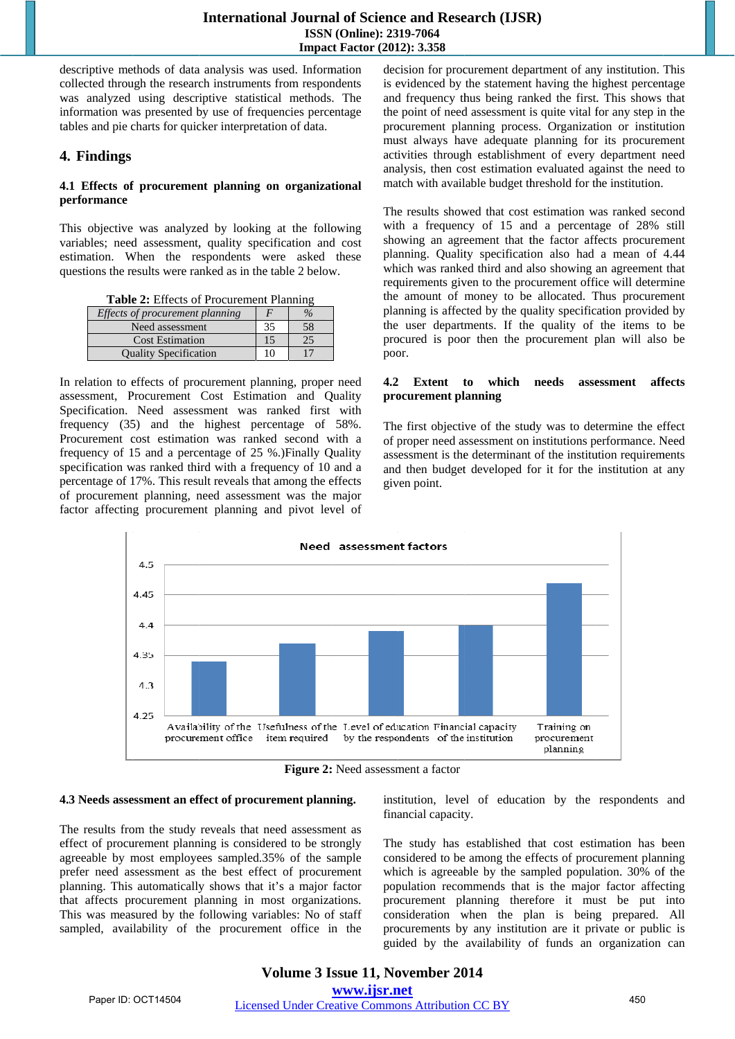descriptive methods of data analysis was used. Information collected through the research instruments from respondents was analyzed using descriptive statistical methods. The information was presented by use of frequencies percentage tables and pie charts for quicker interpretation of data.

# **4 4. Findings**

#### 4.1 Effects of procurement planning on organizational **p erformance**

This objective was analyzed by looking at the following variables; need assessment, quality specification and cost estimation. When the respondents were asked these questions the results were ranked as in the table 2 below.

Table 2: Effects of Procurement Planning

| Effects of procurement planning |    | $\%$ |
|---------------------------------|----|------|
| Need assessment                 | 35 | 58   |
| <b>Cost Estimation</b>          | 15 | 25   |
| <b>Quality Specification</b>    |    |      |

In relation to effects of procurement planning, proper need assessment, Procurement Cost Estimation and Quality S pecification. Need asses sment was ranked first with frequency (35) and the highest percentage of 58%. Procurement cost estimation was ranked second with a frequency of 15 and a percentage of 25 %.) Finally Quality specification was ranked third with a frequency of 10 and a percentage of 17%. This result reveals that among the effects of procurement planning, need assessment was the major factor affecting procurement planning and pivot level of decision for procurement department of any institution. This is evidenced by the statement having the highest percentage and frequency thus being ranked the first. This shows that the point of need assessment is quite vital for any step in the procurement planning process. Organization or institution must always have adequate planning for its procurement activities through establishment of every department need analysis, then cost estimation evaluated against the need to match with available budget threshold for the institution.

The results showed that cost estimation was ranked second with a frequency of 15 and a percentage of 28% still showing an agreement that the factor affects procurement planning. Quality specification also had a mean of 4.44 which was ranked third and also showing an agreement that requirements given to the procurement office will determine the amount of money to be allocated. Thus procurement planning is affected by the quality specification provided by the user departments. If the quality of the items to be procured is poor then the procurement plan will also be poor.

#### **4.2 Extent t to which pro ocurement pl lanning needs asse essment aff fects**

The first objective of the study was to determine the effect of p proper need a ssessment on institutions p erformance. N Need assessment is the determinant of the institution requirements and then budget developed for it for the institution at any given point.



Figure 2: Need assessment a factor

#### **4 .3 Needs asse essment an ef ffect of procu rement plann ning.**

The results from the study reveals that need assessment as effect of procurement planning is considered to be strongly agreeable by most employees sampled.35% of the sample prefer need assessment as the best effect of procurement planning. This automatically shows that it's a major factor that affects procurement planning in most organizations. This was measured by the following variables: No of staff sampled, availability of the procurement office in the institution, level of education by the respondents and financial capacity.

The study has established that cost estimation has been considered to be among the effects of procurement planning which is agreeable by the sampled population. 30% of the population recommends that is the major factor affecting procurement planning therefore it must be put into consideration when the plan is being prepared. All procurements by any institution are it private or public is guided by the availability of funds an organization can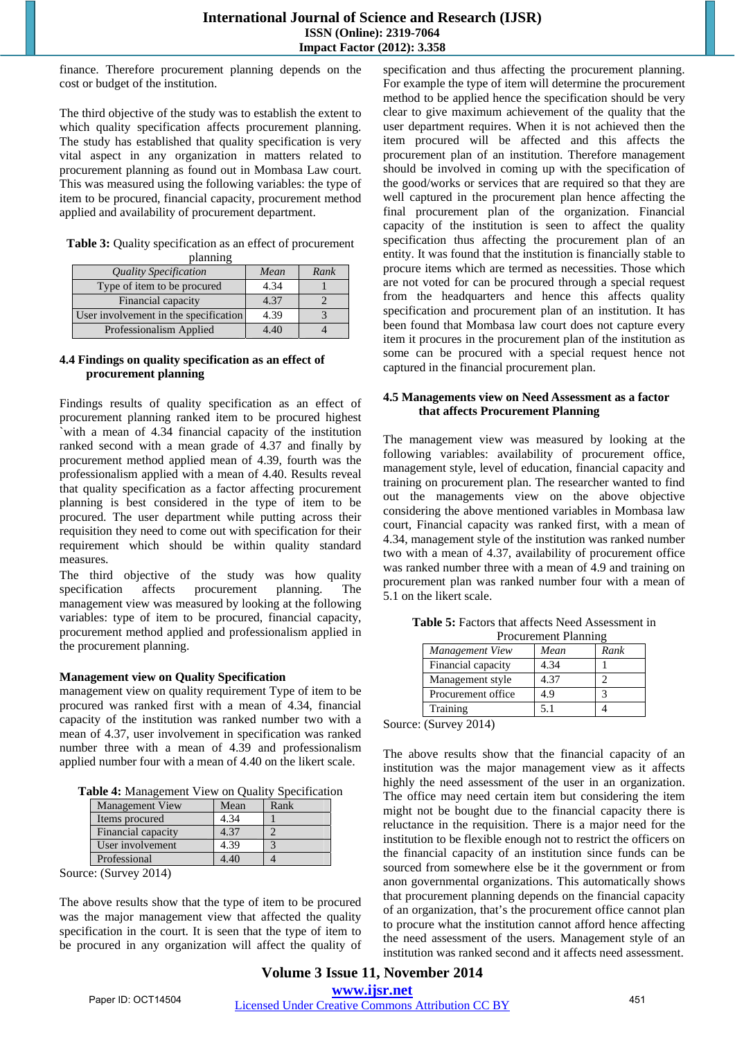finance. Therefore procurement planning depends on the cost or budget of the institution.

The third objective of the study was to establish the extent to which quality specification affects procurement planning. The study has established that quality specification is very vital aspect in any organization in matters related to procurement planning as found out in Mombasa Law court. This was measured using the following variables: the type of item to be procured, financial capacity, procurement method applied and availability of procurement department.

| Table 3: Quality specification as an effect of procurement |
|------------------------------------------------------------|
| planning                                                   |

| .                                     |      |      |
|---------------------------------------|------|------|
| <b>Quality Specification</b>          | Mean | Rank |
| Type of item to be procured           | 4.34 |      |
| Financial capacity                    | 4.37 |      |
| User involvement in the specification | 4.39 |      |
| Professionalism Applied               | 4.40 |      |

#### **4.4 Findings on quality specification as an effect of procurement planning**

Findings results of quality specification as an effect of procurement planning ranked item to be procured highest `with a mean of 4.34 financial capacity of the institution ranked second with a mean grade of 4.37 and finally by procurement method applied mean of 4.39, fourth was the professionalism applied with a mean of 4.40. Results reveal that quality specification as a factor affecting procurement planning is best considered in the type of item to be procured. The user department while putting across their requisition they need to come out with specification for their requirement which should be within quality standard measures.

The third objective of the study was how quality specification affects procurement planning. The management view was measured by looking at the following variables: type of item to be procured, financial capacity, procurement method applied and professionalism applied in the procurement planning.

# **Management view on Quality Specification**

management view on quality requirement Type of item to be procured was ranked first with a mean of 4.34, financial capacity of the institution was ranked number two with a mean of 4.37, user involvement in specification was ranked number three with a mean of 4.39 and professionalism applied number four with a mean of 4.40 on the likert scale.

**Table 4:** Management View on Quality Specification

| <b>Management View</b> | Mean | Rank |
|------------------------|------|------|
| Items procured         | 4.34 |      |
| Financial capacity     | 4.37 |      |
| User involvement       | 4.39 |      |
| Professional           | 4.40 |      |

Source: (Survey 2014)

The above results show that the type of item to be procured was the major management view that affected the quality specification in the court. It is seen that the type of item to be procured in any organization will affect the quality of specification and thus affecting the procurement planning. For example the type of item will determine the procurement method to be applied hence the specification should be very clear to give maximum achievement of the quality that the user department requires. When it is not achieved then the item procured will be affected and this affects the procurement plan of an institution. Therefore management should be involved in coming up with the specification of the good/works or services that are required so that they are well captured in the procurement plan hence affecting the final procurement plan of the organization. Financial capacity of the institution is seen to affect the quality specification thus affecting the procurement plan of an entity. It was found that the institution is financially stable to procure items which are termed as necessities. Those which are not voted for can be procured through a special request from the headquarters and hence this affects quality specification and procurement plan of an institution. It has been found that Mombasa law court does not capture every item it procures in the procurement plan of the institution as some can be procured with a special request hence not captured in the financial procurement plan.

#### **4.5 Managements view on Need Assessment as a factor that affects Procurement Planning**

The management view was measured by looking at the following variables: availability of procurement office, management style, level of education, financial capacity and training on procurement plan. The researcher wanted to find out the managements view on the above objective considering the above mentioned variables in Mombasa law court, Financial capacity was ranked first, with a mean of 4.34, management style of the institution was ranked number two with a mean of 4.37, availability of procurement office was ranked number three with a mean of 4.9 and training on procurement plan was ranked number four with a mean of 5.1 on the likert scale.

| <b>Table 5:</b> Factors that affects Need Assessment in |
|---------------------------------------------------------|
| Procurement Planning                                    |

| т госигенит танните |      |      |
|---------------------|------|------|
| Management View     | Mean | Rank |
| Financial capacity  | 4.34 |      |
| Management style    | 4.37 |      |
| Procurement office  | 4.9  |      |
| Training            | 5.1  |      |

Source: (Survey 2014)

The above results show that the financial capacity of an institution was the major management view as it affects highly the need assessment of the user in an organization. The office may need certain item but considering the item might not be bought due to the financial capacity there is reluctance in the requisition. There is a major need for the institution to be flexible enough not to restrict the officers on the financial capacity of an institution since funds can be sourced from somewhere else be it the government or from anon governmental organizations. This automatically shows that procurement planning depends on the financial capacity of an organization, that's the procurement office cannot plan to procure what the institution cannot afford hence affecting the need assessment of the users. Management style of an institution was ranked second and it affects need assessment.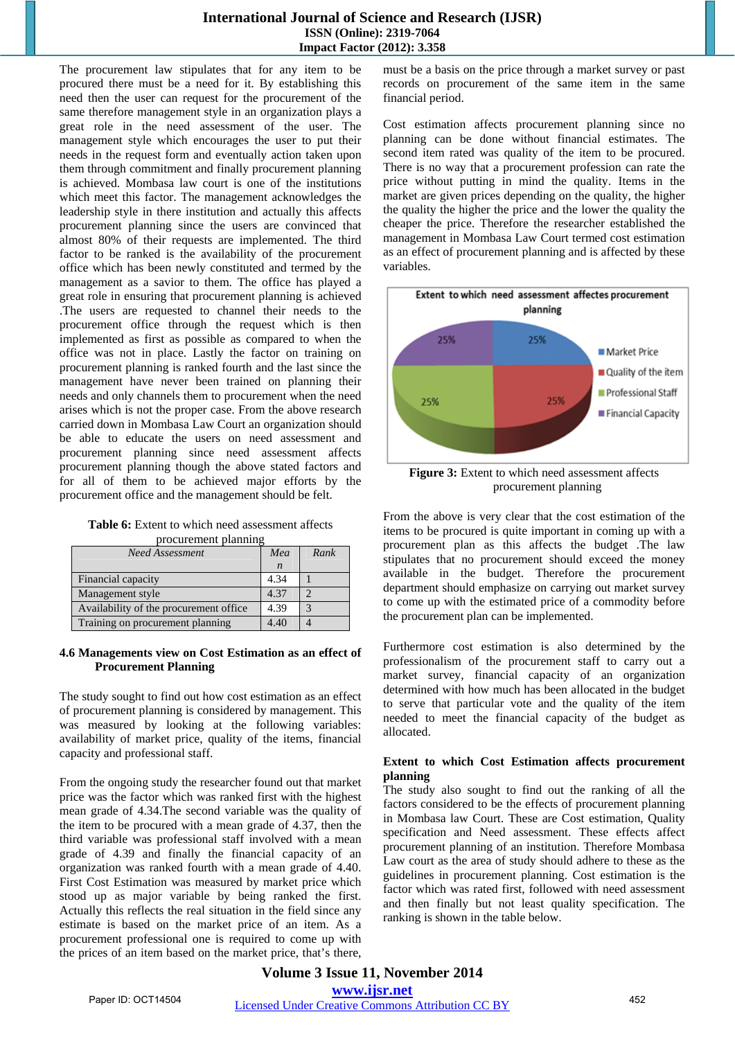The procurement law stipulates that for any item to be procured there must be a need for it. By establishing this need then the user can request for the procurement of the same therefore management style in an organization plays a great role in the need assessment of the user. The management style which encourages the user to put their needs in the request form and eventually action taken upon them through commitment and finally procurement planning is achieved. Mombasa law court is one of the institutions which meet this factor. The management acknowledges the leadership style in there institution and actually this affects procurement planning since the users are convinced that almost 80% of their requests are implemented. The third factor to be ranked is the availability of the procurement office which has been newly constituted and termed by the management as a savior to them. The office has played a great role in ensuring that procurement planning is achieved .The users are requested to channel their needs to the procurement office through the request which is then implemented as first as possible as compared to when the office was not in place. Lastly the factor on training on procurement planning is ranked fourth and the last since the management have never been trained on planning their needs and only channels them to procurement when the need arises which is not the proper case. From the above research carried down in Mombasa Law Court an organization should be able to educate the users on need assessment and procurement planning since need assessment affects procurement planning though the above stated factors and for all of them to be achieved major efforts by the procurement office and the management should be felt.

| <b>Table 6:</b> Extent to which need assessment affects |  |
|---------------------------------------------------------|--|
| procurement planning                                    |  |

| <b>Need Assessment</b>                 | Mea              | Rank |
|----------------------------------------|------------------|------|
|                                        | $\boldsymbol{n}$ |      |
| Financial capacity                     | 4.34             |      |
| Management style                       | 4.37             |      |
| Availability of the procurement office | 4.39             |      |
| Training on procurement planning       | 4.40             |      |

#### **4.6 Managements view on Cost Estimation as an effect of Procurement Planning**

The study sought to find out how cost estimation as an effect of procurement planning is considered by management. This was measured by looking at the following variables: availability of market price, quality of the items, financial capacity and professional staff.

From the ongoing study the researcher found out that market price was the factor which was ranked first with the highest mean grade of 4.34.The second variable was the quality of the item to be procured with a mean grade of 4.37, then the third variable was professional staff involved with a mean grade of 4.39 and finally the financial capacity of an organization was ranked fourth with a mean grade of 4.40. First Cost Estimation was measured by market price which stood up as major variable by being ranked the first. Actually this reflects the real situation in the field since any estimate is based on the market price of an item. As a procurement professional one is required to come up with the prices of an item based on the market price, that's there, must be a basis on the price through a market survey or past records on procurement of the same item in the same financial period.

Cost estimation affects procurement planning since no planning can be done without financial estimates. The second item rated was quality of the item to be procured. There is no way that a procurement profession can rate the price without putting in mind the quality. Items in the market are given prices depending on the quality, the higher the quality the higher the price and the lower the quality the cheaper the price. Therefore the researcher established the management in Mombasa Law Court termed cost estimation as an effect of procurement planning and is affected by these variables.



**Figure 3:** Extent to which need assessment affects procurement planning

From the above is very clear that the cost estimation of the items to be procured is quite important in coming up with a procurement plan as this affects the budget .The law stipulates that no procurement should exceed the money available in the budget. Therefore the procurement department should emphasize on carrying out market survey to come up with the estimated price of a commodity before the procurement plan can be implemented.

Furthermore cost estimation is also determined by the professionalism of the procurement staff to carry out a market survey, financial capacity of an organization determined with how much has been allocated in the budget to serve that particular vote and the quality of the item needed to meet the financial capacity of the budget as allocated.

#### **Extent to which Cost Estimation affects procurement planning**

The study also sought to find out the ranking of all the factors considered to be the effects of procurement planning in Mombasa law Court. These are Cost estimation, Quality specification and Need assessment. These effects affect procurement planning of an institution. Therefore Mombasa Law court as the area of study should adhere to these as the guidelines in procurement planning. Cost estimation is the factor which was rated first, followed with need assessment and then finally but not least quality specification. The ranking is shown in the table below.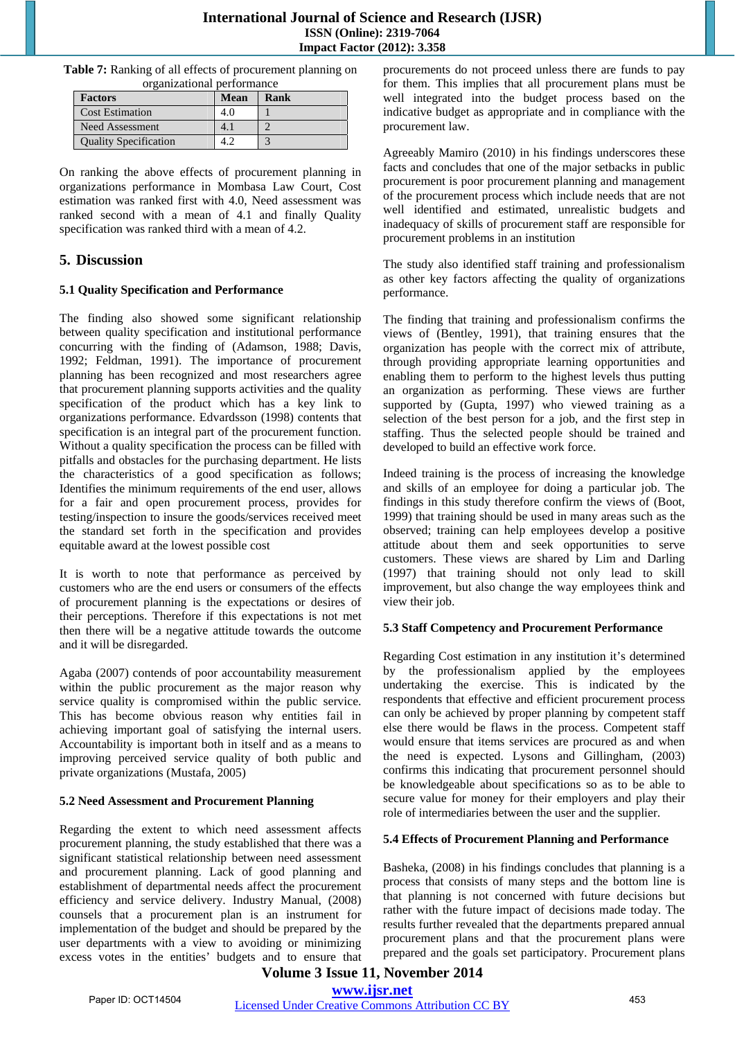| Table 7: Ranking of all effects of procurement planning on |  |
|------------------------------------------------------------|--|
| organizational performance                                 |  |

| <b>Factors</b>               | Mean | Rank |
|------------------------------|------|------|
| <b>Cost Estimation</b>       |      |      |
| <b>Need Assessment</b>       |      |      |
| <b>Quality Specification</b> |      |      |

On ranking the above effects of procurement planning in organizations performance in Mombasa Law Court, Cost estimation was ranked first with 4.0, Need assessment was ranked second with a mean of 4.1 and finally Quality specification was ranked third with a mean of 4.2.

# **5. Discussion**

#### **5.1 Quality Specification and Performance**

The finding also showed some significant relationship between quality specification and institutional performance concurring with the finding of (Adamson, 1988; Davis, 1992; Feldman, 1991). The importance of procurement planning has been recognized and most researchers agree that procurement planning supports activities and the quality specification of the product which has a key link to organizations performance. Edvardsson (1998) contents that specification is an integral part of the procurement function. Without a quality specification the process can be filled with pitfalls and obstacles for the purchasing department. He lists the characteristics of a good specification as follows; Identifies the minimum requirements of the end user, allows for a fair and open procurement process, provides for testing/inspection to insure the goods/services received meet the standard set forth in the specification and provides equitable award at the lowest possible cost

It is worth to note that performance as perceived by customers who are the end users or consumers of the effects of procurement planning is the expectations or desires of their perceptions. Therefore if this expectations is not met then there will be a negative attitude towards the outcome and it will be disregarded.

Agaba (2007) contends of poor accountability measurement within the public procurement as the major reason why service quality is compromised within the public service. This has become obvious reason why entities fail in achieving important goal of satisfying the internal users. Accountability is important both in itself and as a means to improving perceived service quality of both public and private organizations (Mustafa, 2005)

#### **5.2 Need Assessment and Procurement Planning**

Regarding the extent to which need assessment affects procurement planning, the study established that there was a significant statistical relationship between need assessment and procurement planning. Lack of good planning and establishment of departmental needs affect the procurement efficiency and service delivery. Industry Manual, (2008) counsels that a procurement plan is an instrument for implementation of the budget and should be prepared by the user departments with a view to avoiding or minimizing excess votes in the entities' budgets and to ensure that procurements do not proceed unless there are funds to pay for them. This implies that all procurement plans must be well integrated into the budget process based on the indicative budget as appropriate and in compliance with the procurement law.

Agreeably Mamiro (2010) in his findings underscores these facts and concludes that one of the major setbacks in public procurement is poor procurement planning and management of the procurement process which include needs that are not well identified and estimated, unrealistic budgets and inadequacy of skills of procurement staff are responsible for procurement problems in an institution

The study also identified staff training and professionalism as other key factors affecting the quality of organizations performance.

The finding that training and professionalism confirms the views of (Bentley, 1991), that training ensures that the organization has people with the correct mix of attribute, through providing appropriate learning opportunities and enabling them to perform to the highest levels thus putting an organization as performing. These views are further supported by (Gupta, 1997) who viewed training as a selection of the best person for a job, and the first step in staffing. Thus the selected people should be trained and developed to build an effective work force.

Indeed training is the process of increasing the knowledge and skills of an employee for doing a particular job. The findings in this study therefore confirm the views of (Boot, 1999) that training should be used in many areas such as the observed; training can help employees develop a positive attitude about them and seek opportunities to serve customers. These views are shared by Lim and Darling (1997) that training should not only lead to skill improvement, but also change the way employees think and view their job.

#### **5.3 Staff Competency and Procurement Performance**

Regarding Cost estimation in any institution it's determined by the professionalism applied by the employees undertaking the exercise. This is indicated by the respondents that effective and efficient procurement process can only be achieved by proper planning by competent staff else there would be flaws in the process. Competent staff would ensure that items services are procured as and when the need is expected. Lysons and Gillingham, (2003) confirms this indicating that procurement personnel should be knowledgeable about specifications so as to be able to secure value for money for their employers and play their role of intermediaries between the user and the supplier.

#### **5.4 Effects of Procurement Planning and Performance**

Basheka, (2008) in his findings concludes that planning is a process that consists of many steps and the bottom line is that planning is not concerned with future decisions but rather with the future impact of decisions made today. The results further revealed that the departments prepared annual procurement plans and that the procurement plans were prepared and the goals set participatory. Procurement plans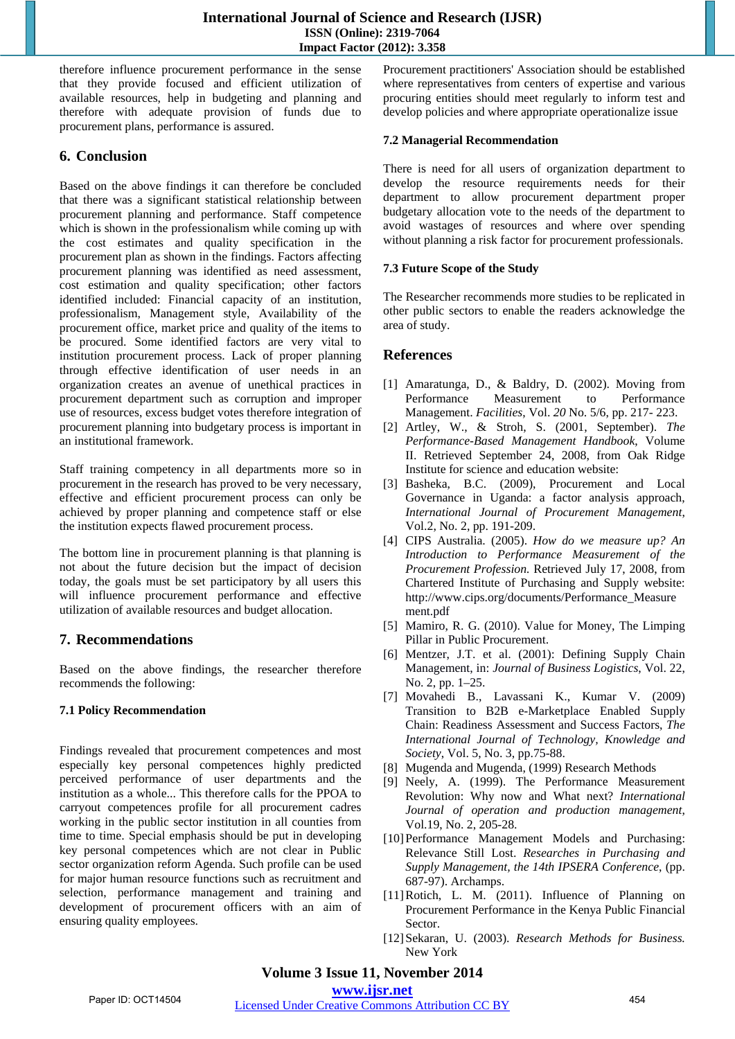therefore influence procurement performance in the sense that they provide focused and efficient utilization of available resources, help in budgeting and planning and therefore with adequate provision of funds due to procurement plans, performance is assured.

# **6. Conclusion**

Based on the above findings it can therefore be concluded that there was a significant statistical relationship between procurement planning and performance. Staff competence which is shown in the professionalism while coming up with the cost estimates and quality specification in the procurement plan as shown in the findings. Factors affecting procurement planning was identified as need assessment, cost estimation and quality specification; other factors identified included: Financial capacity of an institution, professionalism, Management style, Availability of the procurement office, market price and quality of the items to be procured. Some identified factors are very vital to institution procurement process. Lack of proper planning through effective identification of user needs in an organization creates an avenue of unethical practices in procurement department such as corruption and improper use of resources, excess budget votes therefore integration of procurement planning into budgetary process is important in an institutional framework.

Staff training competency in all departments more so in procurement in the research has proved to be very necessary, effective and efficient procurement process can only be achieved by proper planning and competence staff or else the institution expects flawed procurement process.

The bottom line in procurement planning is that planning is not about the future decision but the impact of decision today, the goals must be set participatory by all users this will influence procurement performance and effective utilization of available resources and budget allocation.

# **7. Recommendations**

Based on the above findings, the researcher therefore recommends the following:

# **7.1 Policy Recommendation**

Findings revealed that procurement competences and most especially key personal competences highly predicted perceived performance of user departments and the institution as a whole... This therefore calls for the PPOA to carryout competences profile for all procurement cadres working in the public sector institution in all counties from time to time. Special emphasis should be put in developing key personal competences which are not clear in Public sector organization reform Agenda. Such profile can be used for major human resource functions such as recruitment and selection, performance management and training and development of procurement officers with an aim of ensuring quality employees.

Procurement practitioners' Association should be established where representatives from centers of expertise and various procuring entities should meet regularly to inform test and develop policies and where appropriate operationalize issue

### **7.2 Managerial Recommendation**

There is need for all users of organization department to develop the resource requirements needs for their department to allow procurement department proper budgetary allocation vote to the needs of the department to avoid wastages of resources and where over spending without planning a risk factor for procurement professionals.

### **7.3 Future Scope of the Study**

The Researcher recommends more studies to be replicated in other public sectors to enable the readers acknowledge the area of study.

# **References**

- [1] Amaratunga, D., & Baldry, D. (2002). Moving from Performance Measurement to Performance Management. *Facilities*, Vol. *20* No. 5/6, pp. 217- 223.
- [2] Artley, W., & Stroh, S. (2001, September). *The Performance-Based Management Handbook*, Volume II. Retrieved September 24, 2008, from Oak Ridge Institute for science and education website:
- [3] Basheka, B.C. (2009), Procurement and Local Governance in Uganda: a factor analysis approach, *International Journal of Procurement Management*, Vol.2, No. 2, pp. 191-209.
- [4] CIPS Australia. (2005). *How do we measure up? An Introduction to Performance Measurement of the Procurement Profession.* Retrieved July 17, 2008, from Chartered Institute of Purchasing and Supply website: http://www.cips.org/documents/Performance\_Measure ment.pdf
- [5] Mamiro, R. G. (2010). Value for Money, The Limping Pillar in Public Procurement.
- [6] Mentzer, J.T. et al. (2001): Defining Supply Chain Management, in: *Journal of Business Logistics*, Vol. 22, No. 2, pp. 1–25.
- [7] Movahedi B., Lavassani K., Kumar V. (2009) Transition to B2B e-Marketplace Enabled Supply Chain: Readiness Assessment and Success Factors, *The International Journal of Technology, Knowledge and Society*, Vol. 5, No. 3, pp.75-88.
- [8] Mugenda and Mugenda, (1999) Research Methods
- [9] Neely, A. (1999). The Performance Measurement Revolution: Why now and What next? *International Journal of operation and production management*, Vol.19, No. 2, 205-28.
- [10] Performance Management Models and Purchasing: Relevance Still Lost. *Researches in Purchasing and Supply Management, the 14th IPSERA Conference*, (pp. 687-97). Archamps.
- [11]Rotich, L. M. (2011). Influence of Planning on Procurement Performance in the Kenya Public Financial Sector.
- [12]Sekaran, U. (2003). *Research Methods for Business.*  New York